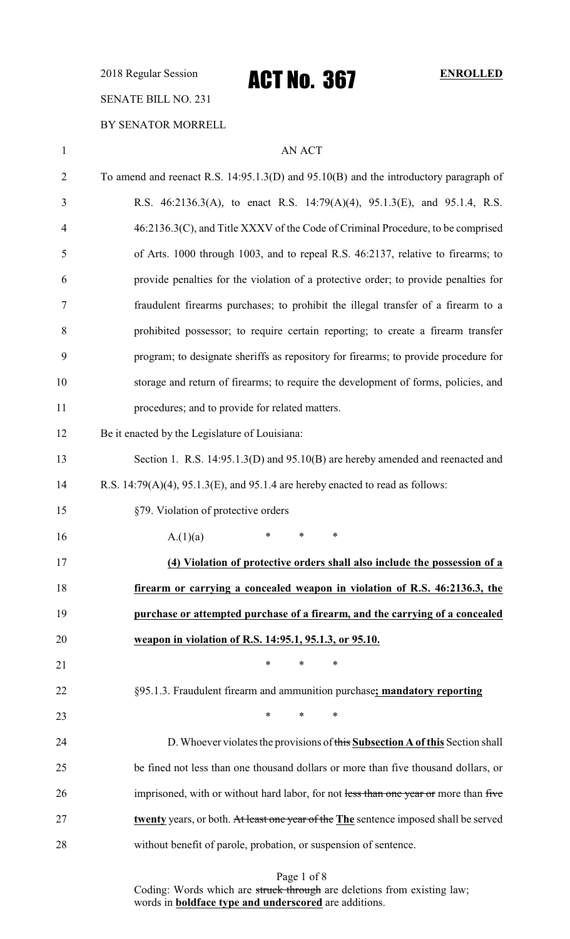2018 Regular Session **ACT NO. 367** ENROLLED

# SENATE BILL NO. 231

### BY SENATOR MORRELL

| $\mathbf{1}$   | <b>AN ACT</b>                                                                             |
|----------------|-------------------------------------------------------------------------------------------|
| $\overline{2}$ | To amend and reenact R.S. $14:95.1.3(D)$ and $95.10(B)$ and the introductory paragraph of |
| 3              | R.S. 46:2136.3(A), to enact R.S. 14:79(A)(4), 95.1.3(E), and 95.1.4, R.S.                 |
| $\overline{4}$ | 46:2136.3(C), and Title XXXV of the Code of Criminal Procedure, to be comprised           |
| 5              | of Arts. 1000 through 1003, and to repeal R.S. 46:2137, relative to firearms; to          |
| 6              | provide penalties for the violation of a protective order; to provide penalties for       |
| 7              | fraudulent firearms purchases; to prohibit the illegal transfer of a firearm to a         |
| 8              | prohibited possessor; to require certain reporting; to create a firearm transfer          |
| 9              | program; to designate sheriffs as repository for firearms; to provide procedure for       |
| 10             | storage and return of firearms; to require the development of forms, policies, and        |
| 11             | procedures; and to provide for related matters.                                           |
| 12             | Be it enacted by the Legislature of Louisiana:                                            |
| 13             | Section 1. R.S. 14:95.1.3(D) and 95.10(B) are hereby amended and reenacted and            |
| 14             | R.S. $14:79(A)(4)$ , $95.1.3(E)$ , and $95.1.4$ are hereby enacted to read as follows:    |
| 15             | §79. Violation of protective orders                                                       |
| 16             | *<br>$\ast$<br>∗<br>A.(1)(a)                                                              |
| 17             | (4) Violation of protective orders shall also include the possession of a                 |
| 18             | firearm or carrying a concealed weapon in violation of R.S. 46:2136.3, the                |
| 19             | purchase or attempted purchase of a firearm, and the carrying of a concealed              |
| 20             | weapon in violation of R.S. 14:95.1, 95.1.3, or 95.10.                                    |
| 21             | $\ast$<br>$\ast$<br>∗                                                                     |
| 22             | §95.1.3. Fraudulent firearm and ammunition purchase; mandatory reporting                  |
| 23             | $*$ and $*$<br>$\ast$<br>$\ast$                                                           |
| 24             | D. Whoever violates the provisions of this Subsection A of this Section shall             |
| 25             | be fined not less than one thousand dollars or more than five thousand dollars, or        |
| 26             | imprisoned, with or without hard labor, for not less than one year or more than five      |
| 27             | twenty years, or both. At least one year of the The sentence imposed shall be served      |
| 28             | without benefit of parole, probation, or suspension of sentence.                          |
|                |                                                                                           |

Page 1 of 8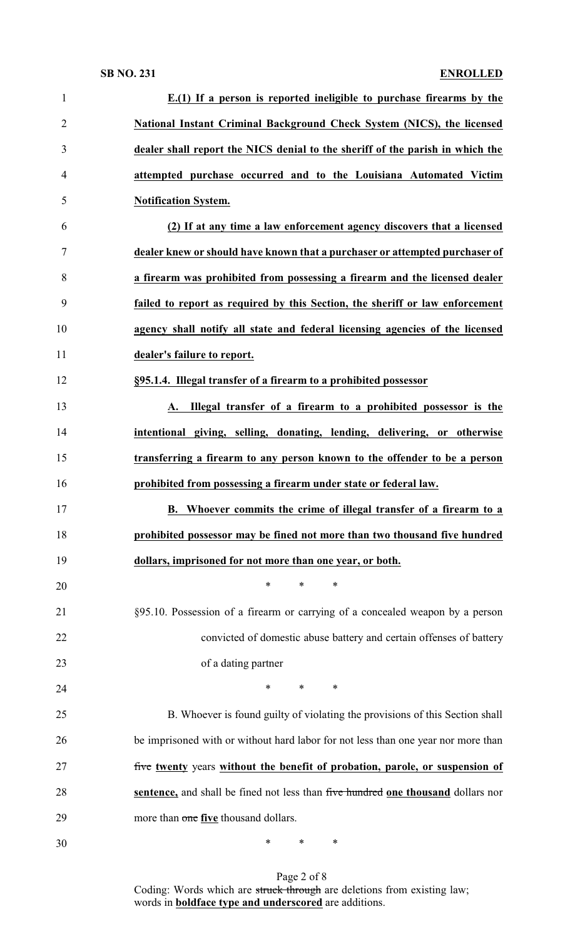| $\mathbf{1}$   | $E(1)$ If a person is reported ineligible to purchase firearms by the             |
|----------------|-----------------------------------------------------------------------------------|
| $\overline{2}$ | National Instant Criminal Background Check System (NICS), the licensed            |
| 3              | dealer shall report the NICS denial to the sheriff of the parish in which the     |
| 4              | attempted purchase occurred and to the Louisiana Automated Victim                 |
| 5              | <b>Notification System.</b>                                                       |
| 6              | (2) If at any time a law enforcement agency discovers that a licensed             |
| 7              | dealer knew or should have known that a purchaser or attempted purchaser of       |
| 8              | a firearm was prohibited from possessing a firearm and the licensed dealer        |
| 9              | failed to report as required by this Section, the sheriff or law enforcement      |
| 10             | agency shall notify all state and federal licensing agencies of the licensed      |
| 11             | dealer's failure to report.                                                       |
| 12             | §95.1.4. Illegal transfer of a firearm to a prohibited possessor                  |
| 13             | A. Illegal transfer of a firearm to a prohibited possessor is the                 |
| 14             | intentional giving, selling, donating, lending, delivering, or otherwise          |
| 15             | transferring a firearm to any person known to the offender to be a person         |
| 16             | prohibited from possessing a firearm under state or federal law.                  |
| 17             | B. Whoever commits the crime of illegal transfer of a firearm to a                |
| 18             | prohibited possessor may be fined not more than two thousand five hundred         |
| 19             | dollars, imprisoned for not more than one year, or both.                          |
| 20             | $\ast$<br>*<br>∗                                                                  |
| 21             | §95.10. Possession of a firearm or carrying of a concealed weapon by a person     |
| 22             | convicted of domestic abuse battery and certain offenses of battery               |
| 23             | of a dating partner                                                               |
| 24             | $\ast$<br>*<br>∗                                                                  |
| 25             | B. Whoever is found guilty of violating the provisions of this Section shall      |
| 26             | be imprisoned with or without hard labor for not less than one year nor more than |
| 27             |                                                                                   |
|                | five twenty years without the benefit of probation, parole, or suspension of      |
| 28             | sentence, and shall be fined not less than five hundred one thousand dollars nor  |
| 29             | more than one five thousand dollars.                                              |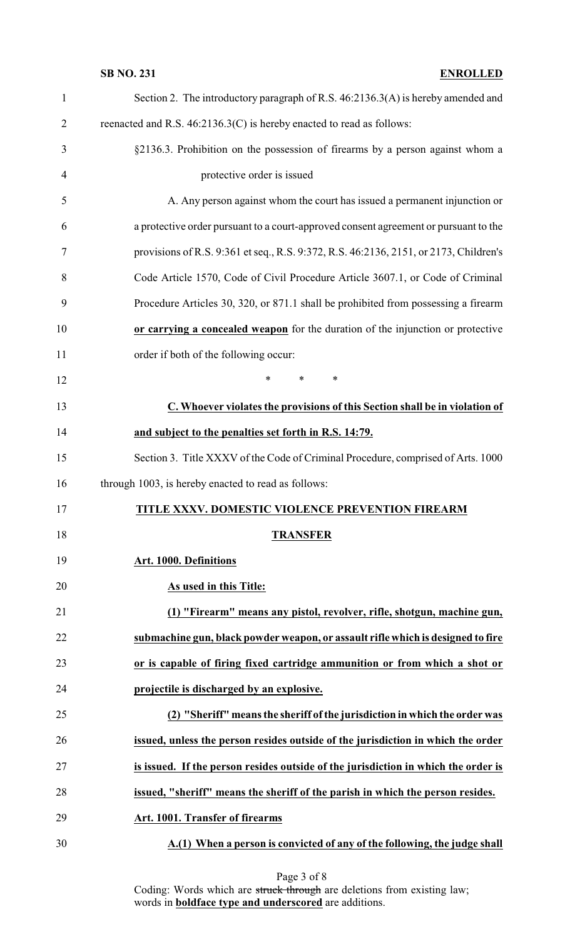| $\mathbf{1}$   | Section 2. The introductory paragraph of R.S. 46:2136.3(A) is hereby amended and      |
|----------------|---------------------------------------------------------------------------------------|
| $\overline{2}$ | reenacted and R.S. 46:2136.3(C) is hereby enacted to read as follows:                 |
| 3              | §2136.3. Prohibition on the possession of firearms by a person against whom a         |
| $\overline{4}$ | protective order is issued                                                            |
| 5              | A. Any person against whom the court has issued a permanent injunction or             |
| 6              | a protective order pursuant to a court-approved consent agreement or pursuant to the  |
| $\tau$         | provisions of R.S. 9:361 et seq., R.S. 9:372, R.S. 46:2136, 2151, or 2173, Children's |
| 8              | Code Article 1570, Code of Civil Procedure Article 3607.1, or Code of Criminal        |
| 9              | Procedure Articles 30, 320, or 871.1 shall be prohibited from possessing a firearm    |
| 10             | or carrying a concealed weapon for the duration of the injunction or protective       |
| 11             | order if both of the following occur:                                                 |
| 12             | $\ast$<br>$\ast$<br>∗                                                                 |
| 13             | C. Whoever violates the provisions of this Section shall be in violation of           |
| 14             | and subject to the penalties set forth in R.S. 14:79.                                 |
| 15             | Section 3. Title XXXV of the Code of Criminal Procedure, comprised of Arts. 1000      |
| 16             | through 1003, is hereby enacted to read as follows:                                   |
| 17             | TITLE XXXV. DOMESTIC VIOLENCE PREVENTION FIREARM                                      |
| 18             | <b>TRANSFER</b>                                                                       |
| 19             | Art. 1000. Definitions                                                                |
| 20             | As used in this Title:                                                                |
| 21             | (1) "Firearm" means any pistol, revolver, rifle, shotgun, machine gun,                |
| 22             | submachine gun, black powder weapon, or assault rifle which is designed to fire       |
| 23             | or is capable of firing fixed cartridge ammunition or from which a shot or            |
| 24             | projectile is discharged by an explosive.                                             |
| 25             | (2) "Sheriff" means the sheriff of the jurisdiction in which the order was            |
| 26             | issued, unless the person resides outside of the jurisdiction in which the order      |
| 27             | is issued. If the person resides outside of the jurisdiction in which the order is    |
| 28             | issued, "sheriff" means the sheriff of the parish in which the person resides.        |
| 29             | Art. 1001. Transfer of firearms                                                       |
| 30             | A.(1) When a person is convicted of any of the following, the judge shall             |

### Page 3 of 8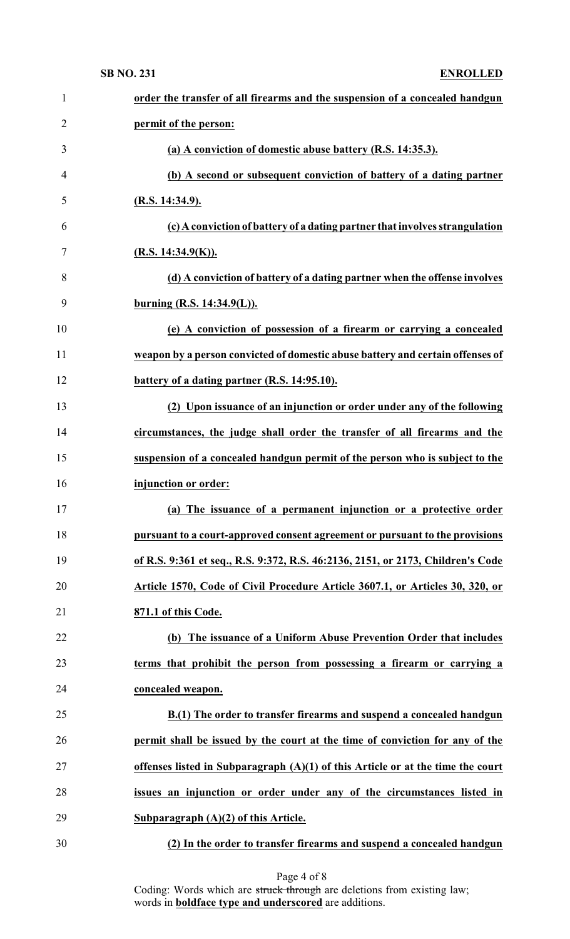| 1              | order the transfer of all firearms and the suspension of a concealed handgun      |
|----------------|-----------------------------------------------------------------------------------|
| $\overline{2}$ | permit of the person:                                                             |
| 3              | (a) A conviction of domestic abuse battery (R.S. 14:35.3).                        |
| 4              | (b) A second or subsequent conviction of battery of a dating partner              |
| 5              | (R.S. 14:34.9).                                                                   |
| 6              | (c) A conviction of battery of a dating partner that involves strangulation       |
| $\overline{7}$ | (R.S. 14:34.9(K)).                                                                |
| 8              | (d) A conviction of battery of a dating partner when the offense involves         |
| 9              | burning (R.S. 14:34.9(L)).                                                        |
| 10             | (e) A conviction of possession of a firearm or carrying a concealed               |
| 11             | weapon by a person convicted of domestic abuse battery and certain offenses of    |
| 12             | battery of a dating partner (R.S. 14:95.10).                                      |
| 13             | (2) Upon issuance of an injunction or order under any of the following            |
| 14             | circumstances, the judge shall order the transfer of all firearms and the         |
| 15             | suspension of a concealed handgun permit of the person who is subject to the      |
|                |                                                                                   |
| 16             | injunction or order:                                                              |
| 17             | (a) The issuance of a permanent injunction or a protective order                  |
| 18             | pursuant to a court-approved consent agreement or pursuant to the provisions      |
| 19             | of R.S. 9:361 et seq., R.S. 9:372, R.S. 46:2136, 2151, or 2173, Children's Code   |
| 20             | Article 1570, Code of Civil Procedure Article 3607.1, or Articles 30, 320, or     |
| 21             | 871.1 of this Code.                                                               |
| 22             | (b) The issuance of a Uniform Abuse Prevention Order that includes                |
| 23             | terms that prohibit the person from possessing a firearm or carrying a            |
| 24             | concealed weapon.                                                                 |
| 25             | B.(1) The order to transfer firearms and suspend a concealed handgun              |
| 26             | permit shall be issued by the court at the time of conviction for any of the      |
| 27             | offenses listed in Subparagraph $(A)(1)$ of this Article or at the time the court |
| 28             | issues an injunction or order under any of the circumstances listed in            |
| 29             | Subparagraph $(A)(2)$ of this Article.                                            |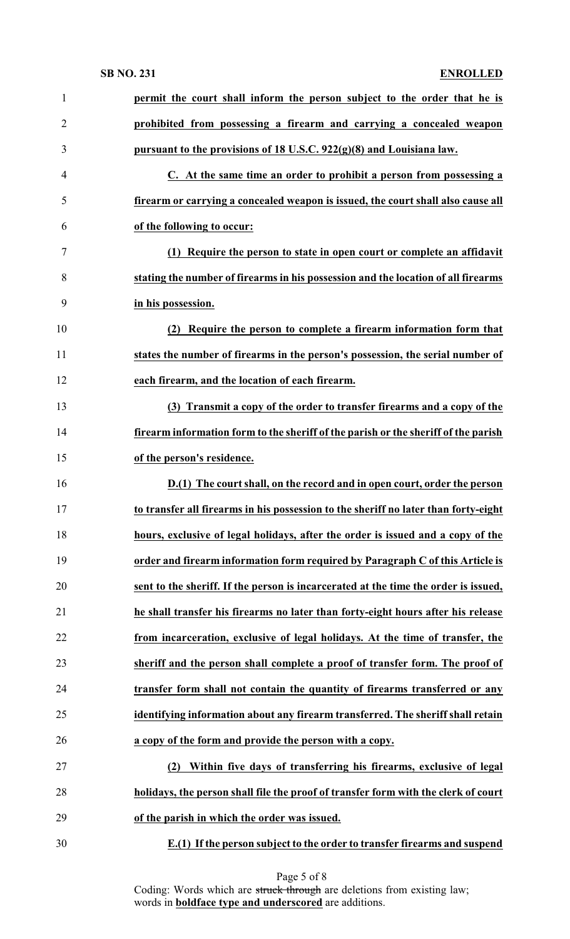| 1              | permit the court shall inform the person subject to the order that he is            |
|----------------|-------------------------------------------------------------------------------------|
| $\overline{2}$ | prohibited from possessing a firearm and carrying a concealed weapon                |
| 3              | pursuant to the provisions of 18 U.S.C. 922(g)(8) and Louisiana law.                |
| $\overline{4}$ | C. At the same time an order to prohibit a person from possessing a                 |
| 5              | firearm or carrying a concealed weapon is issued, the court shall also cause all    |
| 6              | of the following to occur:                                                          |
| 7              | (1) Require the person to state in open court or complete an affidavit              |
| 8              | stating the number of firearms in his possession and the location of all firearms   |
| 9              | in his possession.                                                                  |
| 10             | Require the person to complete a firearm information form that<br>(2)               |
| 11             | states the number of firearms in the person's possession, the serial number of      |
| 12             | each firearm, and the location of each firearm.                                     |
| 13             | (3) Transmit a copy of the order to transfer firearms and a copy of the             |
| 14             | firearm information form to the sheriff of the parish or the sheriff of the parish  |
| 15             | of the person's residence.                                                          |
| 16             | D.(1) The court shall, on the record and in open court, order the person            |
| 17             | to transfer all firearms in his possession to the sheriff no later than forty-eight |
| 18             | hours, exclusive of legal holidays, after the order is issued and a copy of the     |
| 19             | order and firearm information form required by Paragraph C of this Article is       |
| 20             | sent to the sheriff. If the person is incarcerated at the time the order is issued, |
| 21             | he shall transfer his firearms no later than forty-eight hours after his release    |
| 22             | from incarceration, exclusive of legal holidays. At the time of transfer, the       |
| 23             | sheriff and the person shall complete a proof of transfer form. The proof of        |
| 24             | transfer form shall not contain the quantity of firearms transferred or any         |
| 25             | identifying information about any firearm transferred. The sheriff shall retain     |
| 26             | a copy of the form and provide the person with a copy.                              |
| 27             | Within five days of transferring his firearms, exclusive of legal<br>(2)            |
| 28             | holidays, the person shall file the proof of transfer form with the clerk of court  |
| 29             | of the parish in which the order was issued.                                        |
|                | E.(1) If the person subject to the order to transfer firearms and suspend           |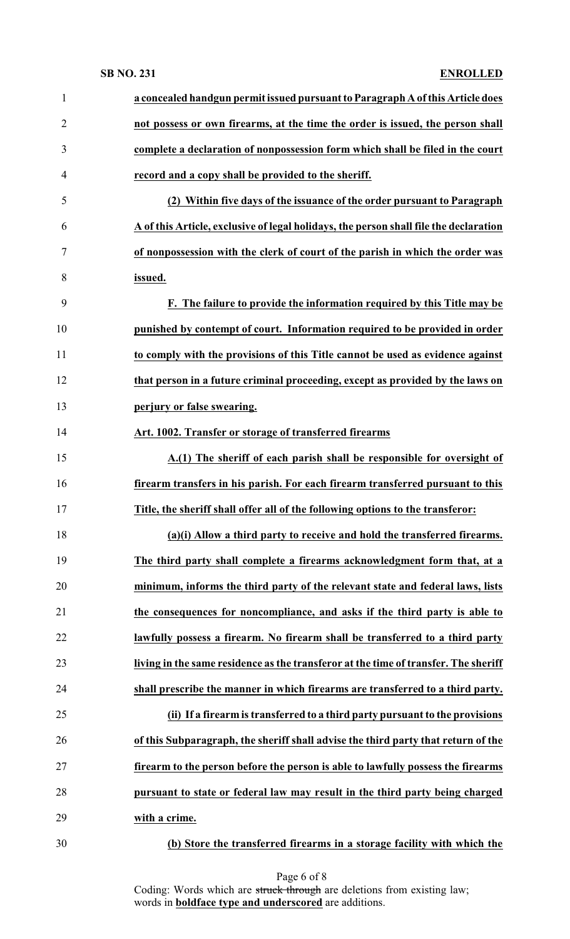| $\mathbf{1}$   | a concealed handgun permit issued pursuant to Paragraph A of this Article does        |
|----------------|---------------------------------------------------------------------------------------|
| $\overline{2}$ | not possess or own firearms, at the time the order is issued, the person shall        |
| 3              | complete a declaration of nonpossession form which shall be filed in the court        |
| 4              | record and a copy shall be provided to the sheriff.                                   |
| 5              | (2) Within five days of the issuance of the order pursuant to Paragraph               |
| 6              | A of this Article, exclusive of legal holidays, the person shall file the declaration |
| 7              | of nonpossession with the clerk of court of the parish in which the order was         |
| 8              | issued.                                                                               |
| 9              | F. The failure to provide the information required by this Title may be               |
| 10             | punished by contempt of court. Information required to be provided in order           |
| 11             | to comply with the provisions of this Title cannot be used as evidence against        |
| 12             | that person in a future criminal proceeding, except as provided by the laws on        |
| 13             | perjury or false swearing.                                                            |
| 14             | Art. 1002. Transfer or storage of transferred firearms                                |
| 15             | A.(1) The sheriff of each parish shall be responsible for oversight of                |
| 16             | firearm transfers in his parish. For each firearm transferred pursuant to this        |
| 17             | Title, the sheriff shall offer all of the following options to the transferor:        |
| 18             | (a)(i) Allow a third party to receive and hold the transferred firearms.              |
| 19             | The third party shall complete a firearms acknowledgment form that, at a              |
| 20             | minimum, informs the third party of the relevant state and federal laws, lists        |
| 21             | the consequences for noncompliance, and asks if the third party is able to            |
| 22             | lawfully possess a firearm. No firearm shall be transferred to a third party          |
| 23             | living in the same residence as the transferor at the time of transfer. The sheriff   |
| 24             | shall prescribe the manner in which firearms are transferred to a third party.        |
| 25             | (ii) If a firearm is transferred to a third party pursuant to the provisions          |
| 26             | of this Subparagraph, the sheriff shall advise the third party that return of the     |
| 27             | firearm to the person before the person is able to lawfully possess the firearms      |
| 28             | pursuant to state or federal law may result in the third party being charged          |
| 29             | with a crime.                                                                         |
| 30             | (b) Store the transferred firearms in a storage facility with which the               |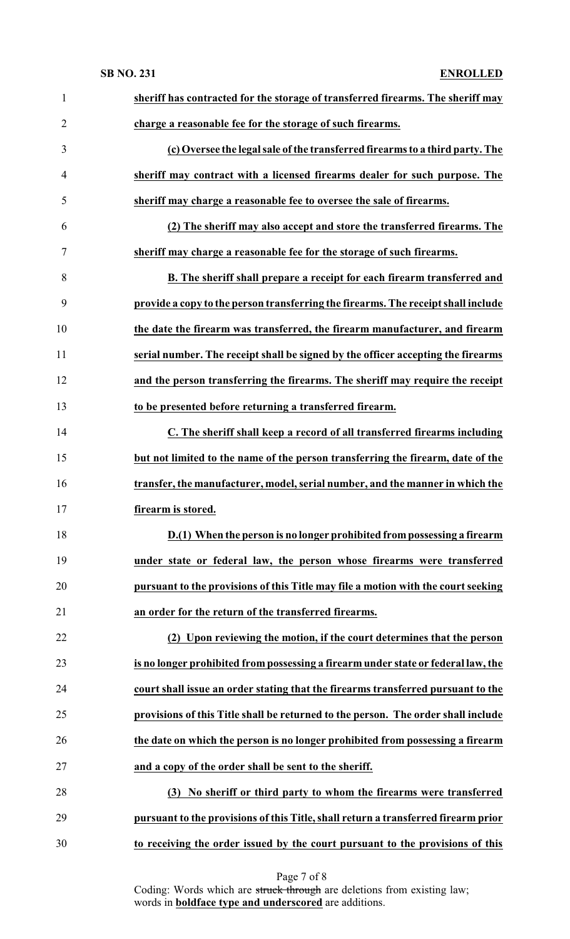| $\mathbf{1}$   | sheriff has contracted for the storage of transferred firearms. The sheriff may    |
|----------------|------------------------------------------------------------------------------------|
| 2              | charge a reasonable fee for the storage of such firearms.                          |
| 3              | (c) Oversee the legal sale of the transferred firearms to a third party. The       |
| $\overline{4}$ | sheriff may contract with a licensed firearms dealer for such purpose. The         |
| 5              | sheriff may charge a reasonable fee to oversee the sale of firearms.               |
| 6              | (2) The sheriff may also accept and store the transferred firearms. The            |
| 7              | sheriff may charge a reasonable fee for the storage of such firearms.              |
| 8              | B. The sheriff shall prepare a receipt for each firearm transferred and            |
| 9              | provide a copy to the person transferring the firearms. The receipt shall include  |
| 10             | the date the firearm was transferred, the firearm manufacturer, and firearm        |
| 11             | serial number. The receipt shall be signed by the officer accepting the firearms   |
| 12             | and the person transferring the firearms. The sheriff may require the receipt      |
| 13             | to be presented before returning a transferred firearm.                            |
| 14             | C. The sheriff shall keep a record of all transferred firearms including           |
| 15             | but not limited to the name of the person transferring the firearm, date of the    |
| 16             | transfer, the manufacturer, model, serial number, and the manner in which the      |
| 17             | firearm is stored.                                                                 |
| 18             | D.(1) When the person is no longer prohibited from possessing a firearm            |
| 19             | under state or federal law, the person whose firearms were transferred             |
| 20             | pursuant to the provisions of this Title may file a motion with the court seeking  |
| 21             | an order for the return of the transferred firearms.                               |
| 22             | (2) Upon reviewing the motion, if the court determines that the person             |
| 23             | is no longer prohibited from possessing a firearm under state or federal law, the  |
| 24             | court shall issue an order stating that the firearms transferred pursuant to the   |
| 25             | provisions of this Title shall be returned to the person. The order shall include  |
| 26             | the date on which the person is no longer prohibited from possessing a firearm     |
| 27             | and a copy of the order shall be sent to the sheriff.                              |
| 28             | No sheriff or third party to whom the firearms were transferred<br>(3)             |
| 29             | pursuant to the provisions of this Title, shall return a transferred firearm prior |
| 30             | to receiving the order issued by the court pursuant to the provisions of this      |

Page 7 of 8